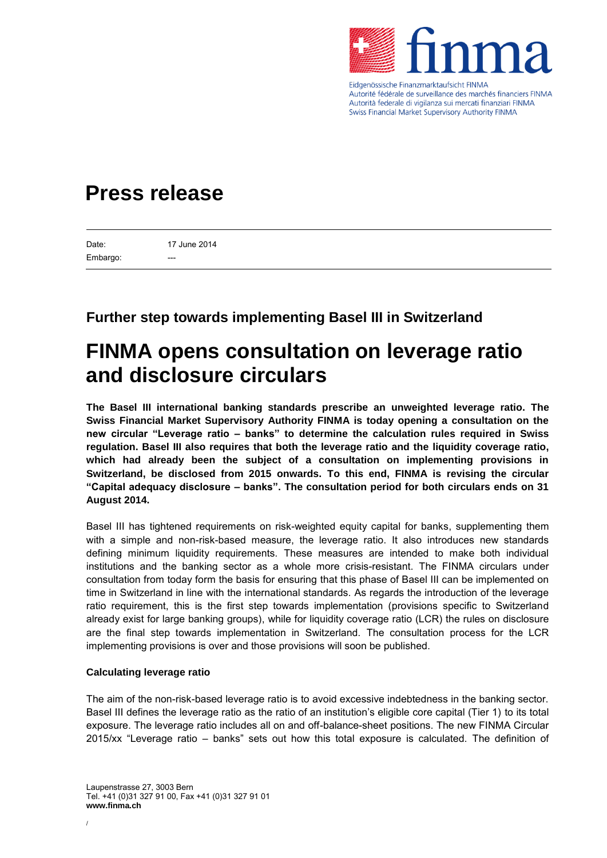

Eidgenössische Finanzmarktaufsicht FINMA Autorité fédérale de surveillance des marchés financiers FINMA Autorità federale di vigilanza sui mercati finanziari FINMA **Swiss Financial Market Supervisory Authority FINMA** 

# **Press release**

Date: Embargo: 17 June 2014

## **Further step towards implementing Basel III in Switzerland**

# **FINMA opens consultation on leverage ratio and disclosure circulars**

**The Basel III international banking standards prescribe an unweighted leverage ratio. The Swiss Financial Market Supervisory Authority FINMA is today opening a consultation on the new circular "Leverage ratio – banks" to determine the calculation rules required in Swiss regulation. Basel III also requires that both the leverage ratio and the liquidity coverage ratio, which had already been the subject of a consultation on implementing provisions in Switzerland, be disclosed from 2015 onwards. To this end, FINMA is revising the circular "Capital adequacy disclosure – banks". The consultation period for both circulars ends on 31 August 2014.**

Basel III has tightened requirements on risk-weighted equity capital for banks, supplementing them with a simple and non-risk-based measure, the leverage ratio. It also introduces new standards defining minimum liquidity requirements. These measures are intended to make both individual institutions and the banking sector as a whole more crisis-resistant. The FINMA circulars under consultation from today form the basis for ensuring that this phase of Basel III can be implemented on time in Switzerland in line with the international standards. As regards the introduction of the leverage ratio requirement, this is the first step towards implementation (provisions specific to Switzerland already exist for large banking groups), while for liquidity coverage ratio (LCR) the rules on disclosure are the final step towards implementation in Switzerland. The consultation process for the LCR implementing provisions is over and those provisions will soon be published.

### **Calculating leverage ratio**

The aim of the non-risk-based leverage ratio is to avoid excessive indebtedness in the banking sector. Basel III defines the leverage ratio as the ratio of an institution's eligible core capital (Tier 1) to its total exposure. The leverage ratio includes all on and off-balance-sheet positions. The new FINMA Circular 2015/xx "Leverage ratio – banks" sets out how this total exposure is calculated. The definition of